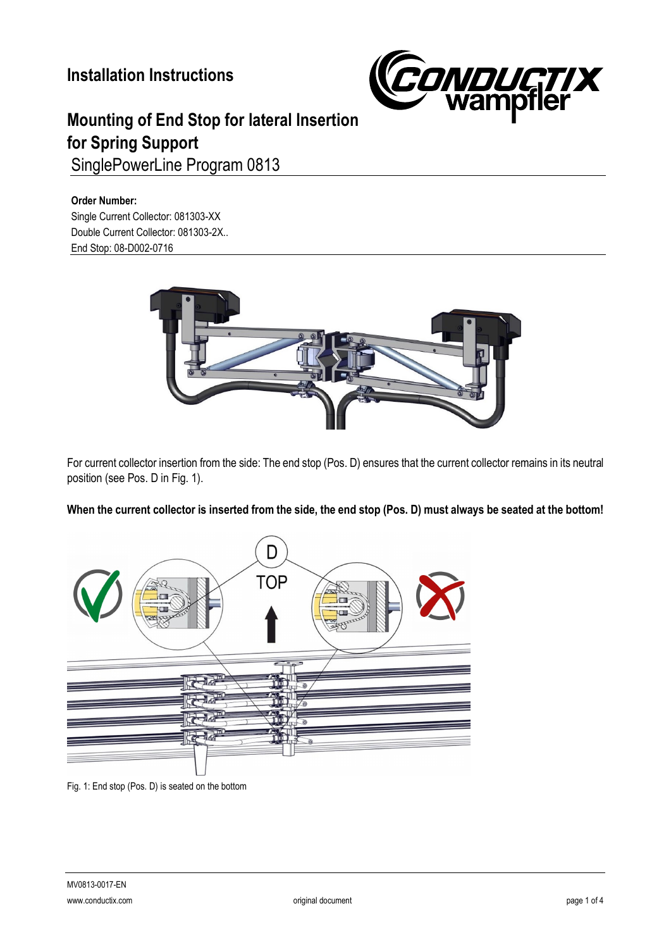

# **Mounting of End Stop for lateral Insertion for Spring Support** SinglePowerLine Program 0813

### **Order Number:**

Single Current Collector: 081303-XX Double Current Collector: 081303-2X.. End Stop: 08-D002-0716



For current collector insertion from the side: The end stop (Pos. D) ensures that the current collector remains in its neutral position (see Pos. D in [Fig. 1\)](#page-0-0).

### **When the current collector is inserted from the side, the end stop (Pos. D) must always be seated at the bottom!**



<span id="page-0-0"></span>Fig. 1: End stop (Pos. D) is seated on the bottom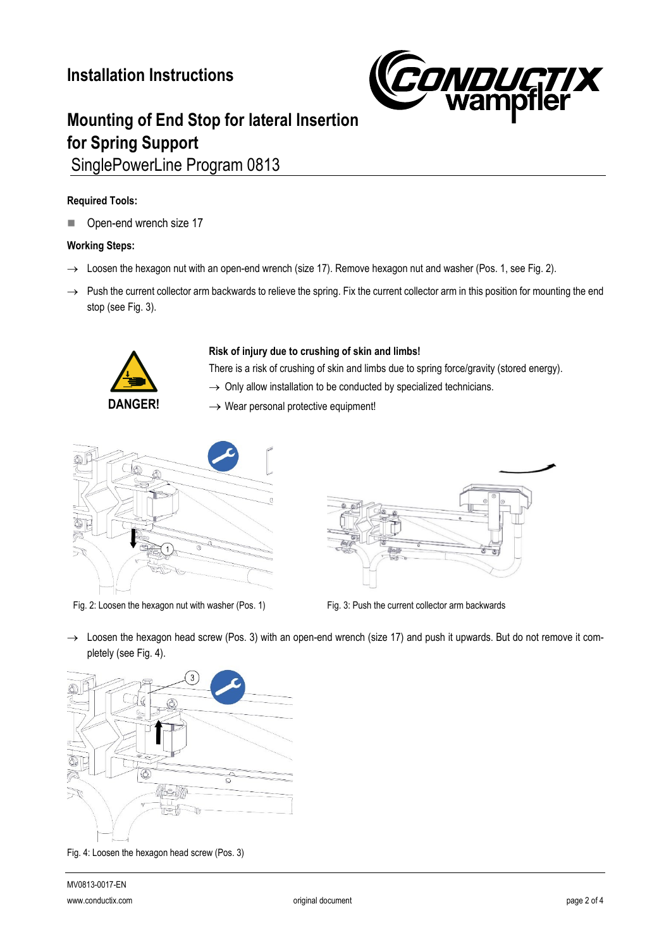## **Installation Instructions**



## **Mounting of End Stop for lateral Insertion for Spring Support** SinglePowerLine Program 0813

### **Required Tools:**

■ Open-end wrench size 17

#### **Working Steps:**

- $\rightarrow$  Loosen the hexagon nut with an open-end wrench (size 17). Remove hexagon nut and washer (Pos. 1, se[e Fig. 2\)](#page-1-0).
- $\rightarrow$  Push the current collector arm backwards to relieve the spring. Fix the current collector arm in this position for mounting the end stop (se[e Fig. 3\)](#page-1-1).



#### **Risk of injury due to crushing of skin and limbs!**

There is a risk of crushing of skin and limbs due to spring force/gravity (stored energy).

- $\rightarrow$  Only allow installation to be conducted by specialized technicians.
- $\rightarrow$  Wear personal protective equipment!



Fig. 2: Loosen the hexagon nut with washer (Pos. 1) Fig. 3: Push the current collector arm backwards



<span id="page-1-1"></span>

<span id="page-1-0"></span>→ Loosen the hexagon head screw (Pos. 3) with an open-end wrench (size 17) and push it upwards. But do not remove it completely (se[e Fig. 4\)](#page-1-2).

<span id="page-1-2"></span>

Fig. 4: Loosen the hexagon head screw (Pos. 3)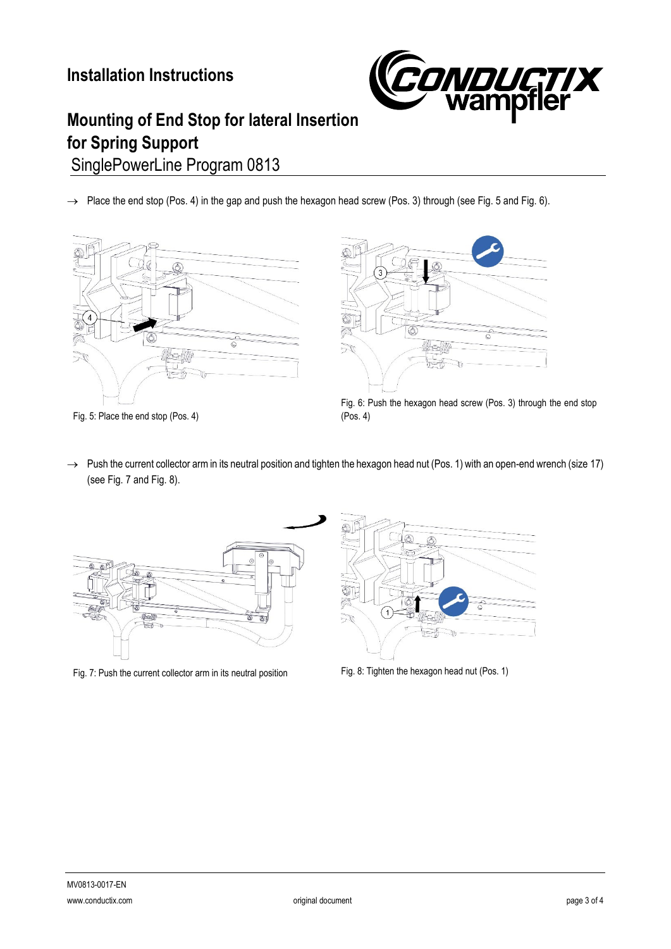## **Installation Instructions**



# **Mounting of End Stop for lateral Insertion for Spring Support** SinglePowerLine Program 0813

→ Place the end stop (Pos. 4) in the gap and push the hexagon head screw (Pos. 3) through (see [Fig. 5](#page-2-0) an[d Fig. 6\)](#page-2-1).





<span id="page-2-0"></span>Fig. 5: Place the end stop (Pos. 4)

<span id="page-2-1"></span>Fig. 6: Push the hexagon head screw (Pos. 3) through the end stop (Pos. 4)

→ Push the current collector arm in its neutral position and tighten the hexagon head nut (Pos. 1) with an open-end wrench (size 17) (se[e Fig. 7](#page-2-2) an[d Fig. 8\)](#page-2-3).



<span id="page-2-2"></span>Fig. 7: Push the current collector arm in its neutral position Fig. 8: Tighten the hexagon head nut (Pos. 1)



<span id="page-2-3"></span>